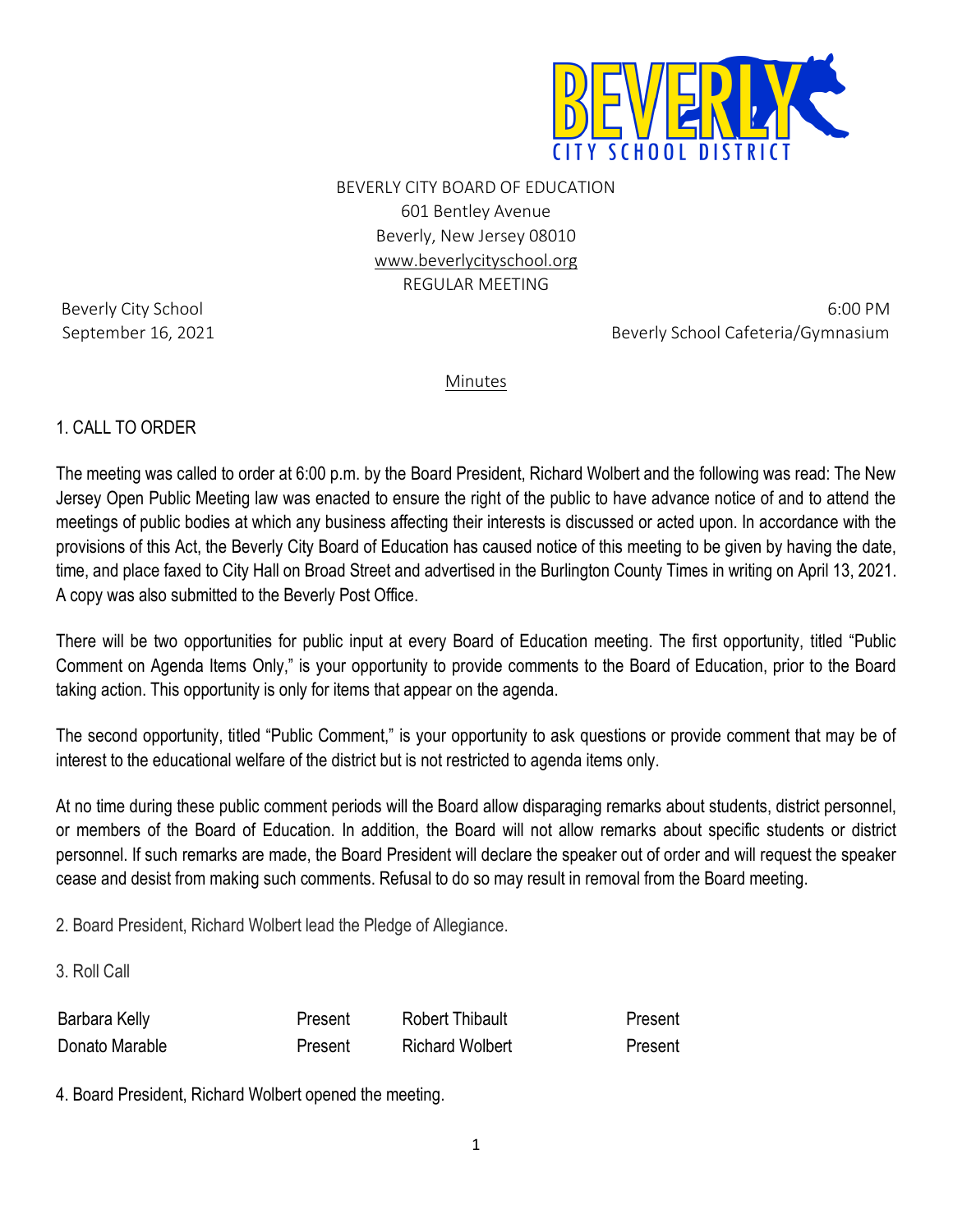

BEVERLY CITY BOARD OF EDUCATION 601 Bentley Avenue Beverly, New Jersey 08010 [www.beverlycityschool.org](http://www.beverlycityschool.org/) REGULAR MEETING

Beverly City School 6:00 PM September 16, 2021 and 16, 2021 and 19 and 19 and 19 and 19 and 19 and 19 and 19 and 19 and 19 and 19 and 19 and 19 and 19 and 19 and 19 and 19 and 19 and 19 and 19 and 19 and 19 and 19 and 19 and 19 and 19 and 19 and 19 a

Minutes

## 1. CALL TO ORDER

The meeting was called to order at 6:00 p.m. by the Board President, Richard Wolbert and the following was read: The New Jersey Open Public Meeting law was enacted to ensure the right of the public to have advance notice of and to attend the meetings of public bodies at which any business affecting their interests is discussed or acted upon. In accordance with the provisions of this Act, the Beverly City Board of Education has caused notice of this meeting to be given by having the date, time, and place faxed to City Hall on Broad Street and advertised in the Burlington County Times in writing on April 13, 2021. A copy was also submitted to the Beverly Post Office.

There will be two opportunities for public input at every Board of Education meeting. The first opportunity, titled "Public Comment on Agenda Items Only," is your opportunity to provide comments to the Board of Education, prior to the Board taking action. This opportunity is only for items that appear on the agenda.

The second opportunity, titled "Public Comment," is your opportunity to ask questions or provide comment that may be of interest to the educational welfare of the district but is not restricted to agenda items only.

At no time during these public comment periods will the Board allow disparaging remarks about students, district personnel, or members of the Board of Education. In addition, the Board will not allow remarks about specific students or district personnel. If such remarks are made, the Board President will declare the speaker out of order and will request the speaker cease and desist from making such comments. Refusal to do so may result in removal from the Board meeting.

2. Board President, Richard Wolbert lead the Pledge of Allegiance.

## 3. Roll Call

| <b>KAIN</b><br>Dart   |         |  |
|-----------------------|---------|--|
| <b>Oonato Marable</b> | Wolbert |  |

4. Board President, Richard Wolbert opened the meeting.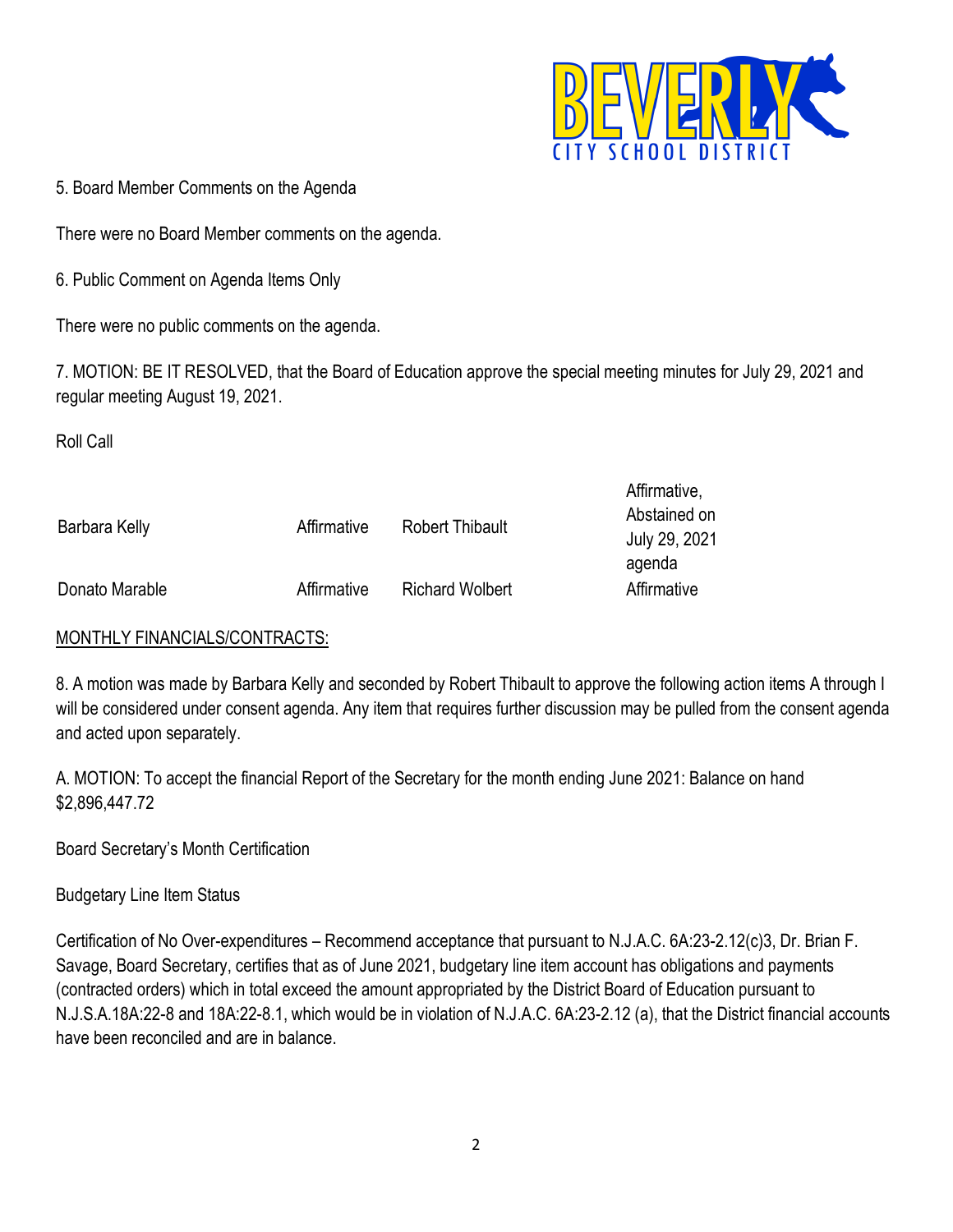

5. Board Member Comments on the Agenda

There were no Board Member comments on the agenda.

6. Public Comment on Agenda Items Only

There were no public comments on the agenda.

7. MOTION: BE IT RESOLVED, that the Board of Education approve the special meeting minutes for July 29, 2021 and regular meeting August 19, 2021.

Roll Call

| Barbara Kelly  | Affirmative | Robert Thibault        | Affirmative,<br>Abstained on<br>July 29, 2021<br>agenda |
|----------------|-------------|------------------------|---------------------------------------------------------|
| Donato Marable | Affirmative | <b>Richard Wolbert</b> | Affirmative                                             |

# MONTHLY FINANCIALS/CONTRACTS:

8. A motion was made by Barbara Kelly and seconded by Robert Thibault to approve the following action items A through I will be considered under consent agenda. Any item that requires further discussion may be pulled from the consent agenda and acted upon separately.

A. MOTION: To accept the financial Report of the Secretary for the month ending June 2021: Balance on hand \$2,896,447.72

Board Secretary's Month Certification

Budgetary Line Item Status

Certification of No Over-expenditures – Recommend acceptance that pursuant to N.J.A.C. 6A:23-2.12(c)3, Dr. Brian F. Savage, Board Secretary, certifies that as of June 2021, budgetary line item account has obligations and payments (contracted orders) which in total exceed the amount appropriated by the District Board of Education pursuant to N.J.S.A.18A:22-8 and 18A:22-8.1, which would be in violation of N.J.A.C. 6A:23-2.12 (a), that the District financial accounts have been reconciled and are in balance.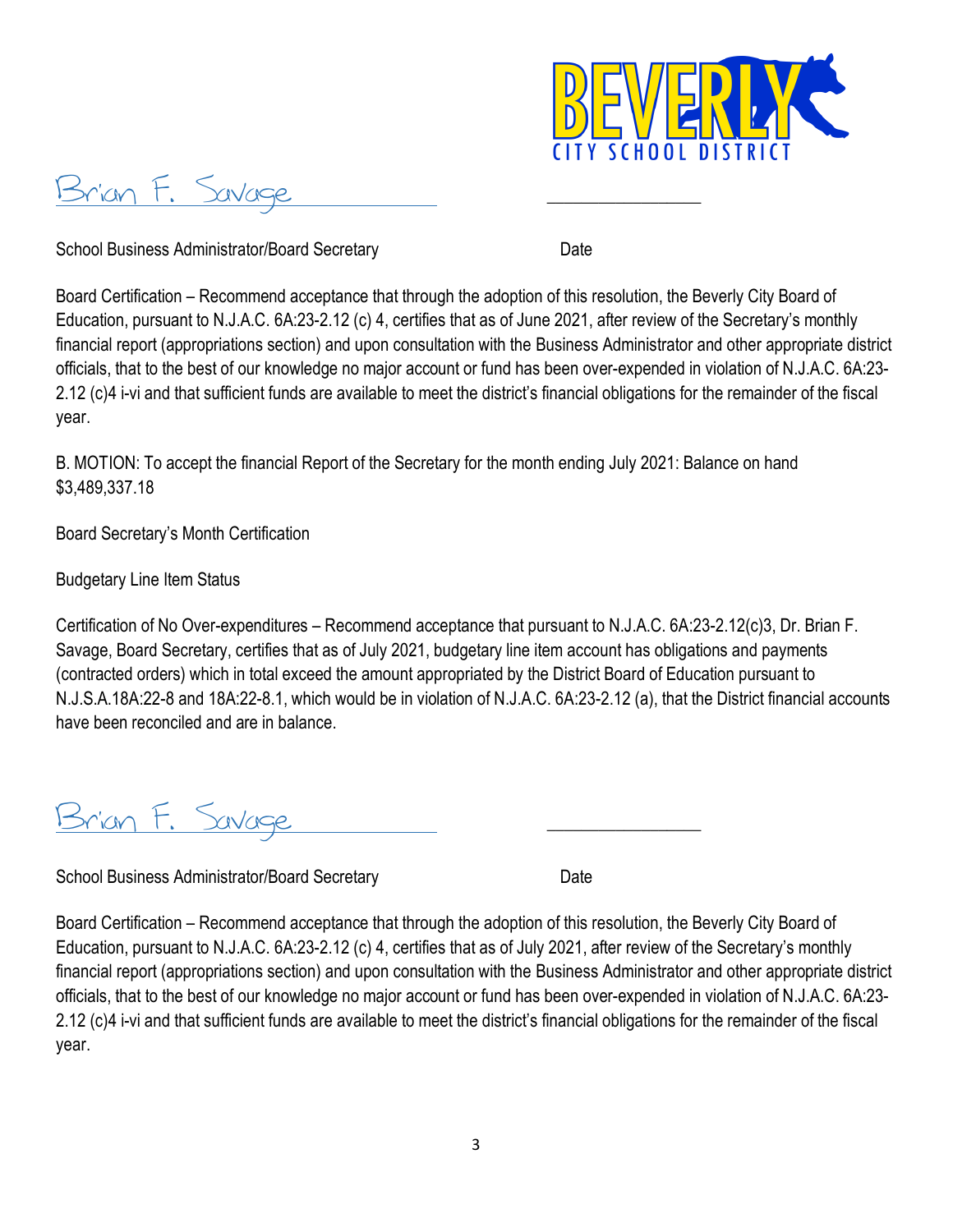

Brian F. Savage

School Business Administrator/Board Secretary Date

Board Certification – Recommend acceptance that through the adoption of this resolution, the Beverly City Board of Education, pursuant to N.J.A.C. 6A:23-2.12 (c) 4, certifies that as of June 2021, after review of the Secretary's monthly financial report (appropriations section) and upon consultation with the Business Administrator and other appropriate district officials, that to the best of our knowledge no major account or fund has been over-expended in violation of N.J.A.C. 6A:23- 2.12 (c)4 i-vi and that sufficient funds are available to meet the district's financial obligations for the remainder of the fiscal year.

B. MOTION: To accept the financial Report of the Secretary for the month ending July 2021: Balance on hand \$3,489,337.18

Board Secretary's Month Certification

Budgetary Line Item Status

Certification of No Over-expenditures – Recommend acceptance that pursuant to N.J.A.C. 6A:23-2.12(c)3, Dr. Brian F. Savage, Board Secretary, certifies that as of July 2021, budgetary line item account has obligations and payments (contracted orders) which in total exceed the amount appropriated by the District Board of Education pursuant to N.J.S.A.18A:22-8 and 18A:22-8.1, which would be in violation of N.J.A.C. 6A:23-2.12 (a), that the District financial accounts have been reconciled and are in balance.

Brian F. Savage

School Business Administrator/Board Secretary Date

Board Certification – Recommend acceptance that through the adoption of this resolution, the Beverly City Board of Education, pursuant to N.J.A.C. 6A:23-2.12 (c) 4, certifies that as of July 2021, after review of the Secretary's monthly financial report (appropriations section) and upon consultation with the Business Administrator and other appropriate district officials, that to the best of our knowledge no major account or fund has been over-expended in violation of N.J.A.C. 6A:23- 2.12 (c)4 i-vi and that sufficient funds are available to meet the district's financial obligations for the remainder of the fiscal year.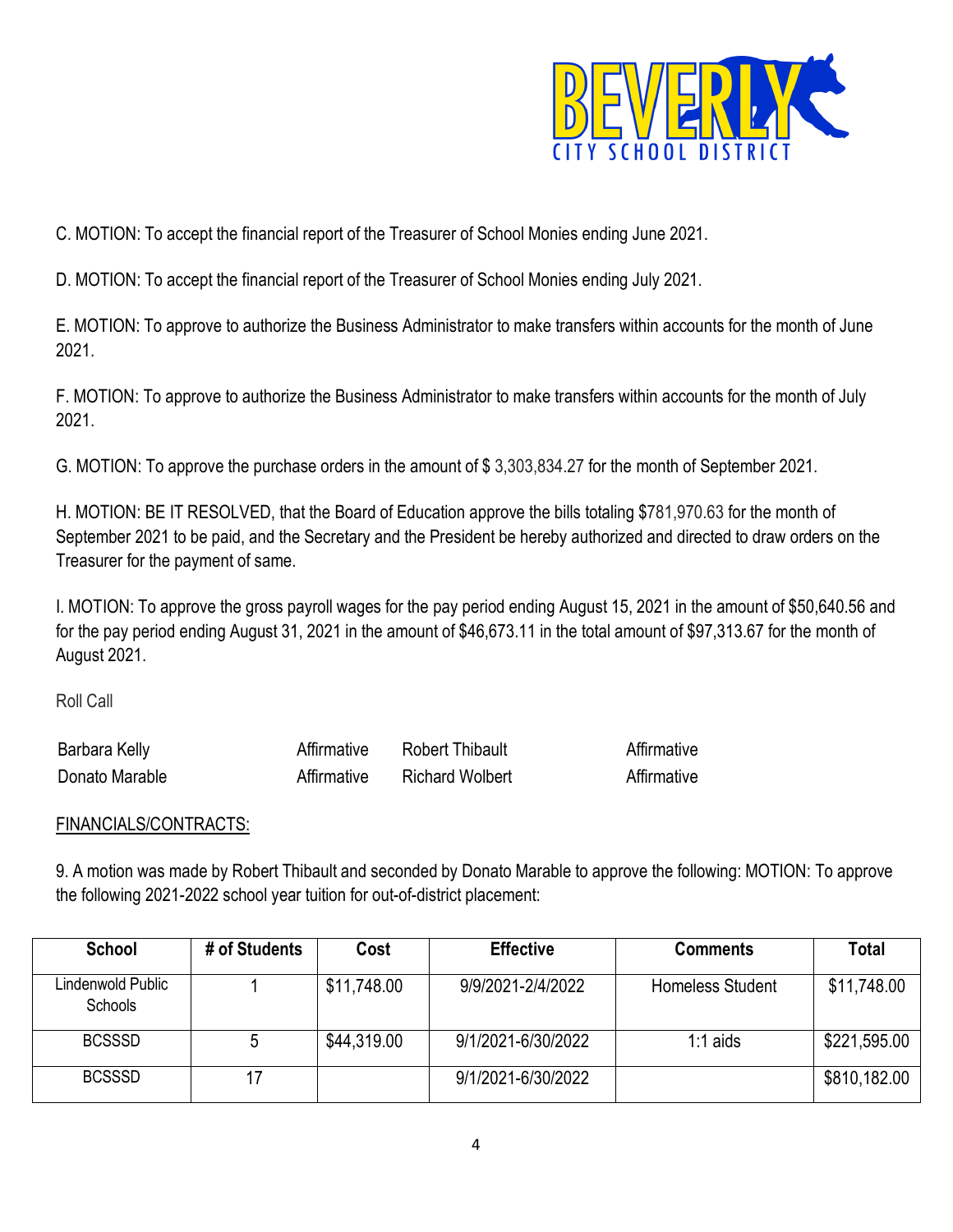

C. MOTION: To accept the financial report of the Treasurer of School Monies ending June 2021.

D. MOTION: To accept the financial report of the Treasurer of School Monies ending July 2021.

E. MOTION: To approve to authorize the Business Administrator to make transfers within accounts for the month of June 2021.

F. MOTION: To approve to authorize the Business Administrator to make transfers within accounts for the month of July 2021.

G. [MOTION: To approve the purchase orders in the amount of \\$](http://www.beverly.k12.nj.us/bcs/Member%27s%20Area/Board%20Only/Board%20Attachments/Item%23%209D%20March%202015%20PO%20List.PDF?1426684290) 3,303,834.27 for the month of September 2021.

H. MOTION: BE IT RESOLVED, that the Board of Education approve the bills totaling \$781,970.63 for the month of September 2021 to be paid, and the Secretary and the President be hereby authorized and directed to draw orders on the Treasurer for the payment of same.

[I. MOTION: To approve the gross payroll wages](http://www.beverly.k12.nj.us/bcs/Member%27s%20Area/Board%20Only/Board%20Attachments/Item%23%209F%20Gross%20Payroll%20March%202015%20Agenda.pdf?1426684353) for the pay period ending August 15, 2021 in the amount of \$50,640.56 and for the pay period ending August 31, 2021 in the amount of \$46,673.11 in the total amount of \$97,313.67 for the month of August 2021.

Roll Call

| r<br>Kelly<br><b>Barbara</b> |                    |  |
|------------------------------|--------------------|--|
| −<br>Donato Marable          | Wolbert<br>≀ırhard |  |

## FINANCIALS/CONTRACTS:

9. A motion was made by Robert Thibault and seconded by Donato Marable to approve the following: MOTION: To approve the following 2021-2022 school year tuition for out-of-district placement:

| <b>School</b>                | # of Students | Cost        | <b>Effective</b>   | <b>Comments</b>         | <b>Total</b> |
|------------------------------|---------------|-------------|--------------------|-------------------------|--------------|
| Lindenwold Public<br>Schools |               | \$11,748.00 | 9/9/2021-2/4/2022  | <b>Homeless Student</b> | \$11,748.00  |
| <b>BCSSSD</b>                | <sub>0</sub>  | \$44,319.00 | 9/1/2021-6/30/2022 | $1:1$ aids              | \$221,595.00 |
| <b>BCSSSD</b>                | 17            |             | 9/1/2021-6/30/2022 |                         | \$810,182.00 |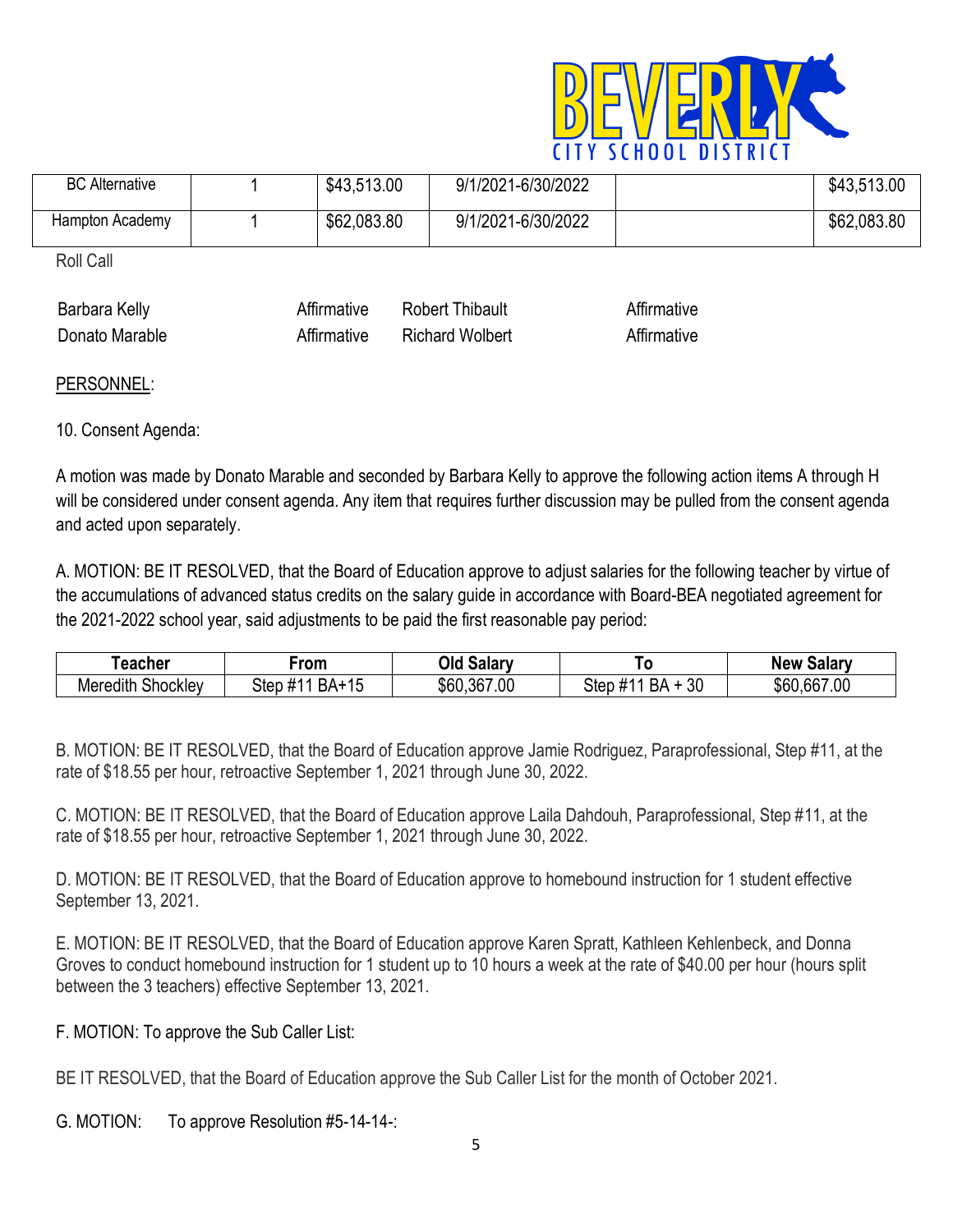

| <b>BC</b> Alternative | \$43,513.00 | 9/1/2021-6/30/2022 | \$43,513.00 |
|-----------------------|-------------|--------------------|-------------|
| Hampton Academy       | \$62,083.80 | 9/1/2021-6/30/2022 | \$62,083.80 |

Roll Call

| Bald<br>.      |                    |  |
|----------------|--------------------|--|
| Donato Marable | Wolbert<br>≀ıchard |  |

## PERSONNEL:

## 10. Consent Agenda:

A motion was made by Donato Marable and seconded by Barbara Kelly to approve the following action items A through H will be considered under consent agenda. Any item that requires further discussion may be pulled from the consent agenda and acted upon separately.

A. MOTION: BE IT RESOLVED, that the Board of Education approve to adjust salaries for the following teacher by virtue of the accumulations of advanced status credits on the salary guide in accordance with Board-BEA negotiated agreement for the 2021-2022 school year, said adjustments to be paid the first reasonable pay period:

| , eacher                                     | ⊦rom                        | -<br>Jld<br>. Salarv | 1 O                            | Salarv<br><b>New</b> |
|----------------------------------------------|-----------------------------|----------------------|--------------------------------|----------------------|
| $\sim$<br>$\cdots$<br>Meredith<br>hocklevد . | Step<br>BA+<br>$\pi$<br>- 1 | .367.00<br>\$60      | 30<br>D N<br>Ster<br>. .<br>אח | .667.00<br>\$60      |

B. MOTION: BE IT RESOLVED, that the Board of Education approve Jamie Rodriguez, Paraprofessional, Step #11, at the rate of \$18.55 per hour, retroactive September 1, 2021 through June 30, 2022.

C. MOTION: BE IT RESOLVED, that the Board of Education approve Laila Dahdouh, Paraprofessional, Step #11, at the rate of \$18.55 per hour, retroactive September 1, 2021 through June 30, 2022.

D. MOTION: BE IT RESOLVED, that the Board of Education approve to homebound instruction for 1 student effective September 13, 2021.

E. MOTION: BE IT RESOLVED, that the Board of Education approve Karen Spratt, Kathleen Kehlenbeck, and Donna Groves to conduct homebound instruction for 1 student up to 10 hours a week at the rate of \$40.00 per hour (hours split between the 3 teachers) effective September 13, 2021.

F. MOTION: To approve the Sub Caller List:

BE IT RESOLVED, that the Board of Education approve the Sub Caller List for the month of October 2021.

G. MOTION: To approve Resolution #5-14-14-: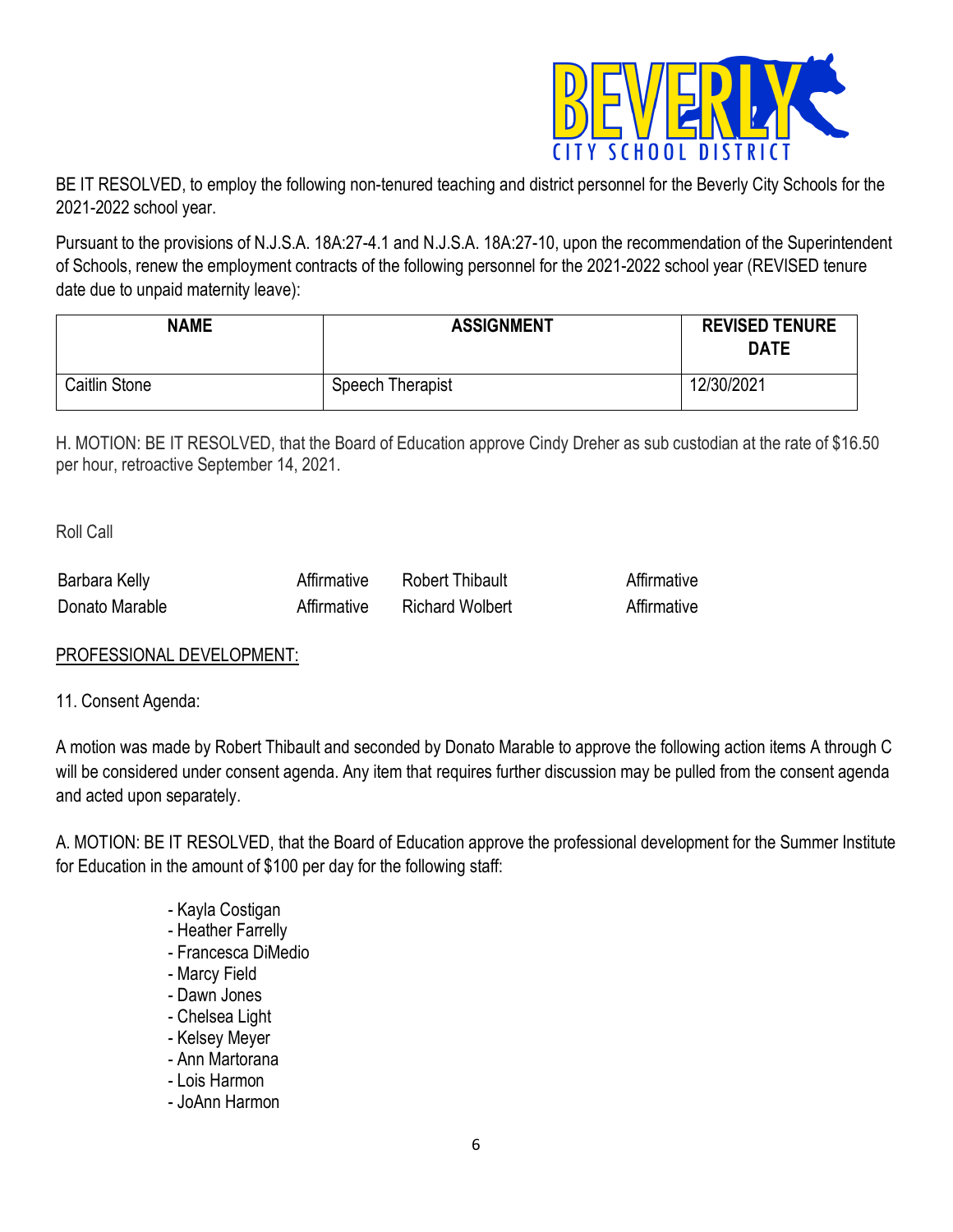

BE IT RESOLVED, to employ the following non-tenured teaching and district personnel for the Beverly City Schools for the 2021-2022 school year.

Pursuant to the provisions of N.J.S.A. 18A:27-4.1 and N.J.S.A. 18A:27-10, upon the recommendation of the Superintendent of Schools, renew the employment contracts of the following personnel for the 2021-2022 school year (REVISED tenure date due to unpaid maternity leave):

| <b>NAME</b>   | <b>ASSIGNMENT</b> | <b>REVISED TENURE</b><br><b>DATE</b> |
|---------------|-------------------|--------------------------------------|
| Caitlin Stone | Speech Therapist  | 12/30/2021                           |

H. MOTION: BE IT RESOLVED, that the Board of Education approve Cindy Dreher as sub custodian at the rate of \$16.50 per hour, retroactive September 14, 2021.

Roll Call

| <b>Barbara Kelly</b> | nipault         |  |
|----------------------|-----------------|--|
| Donato Marable       | Richard Wolbert |  |

## PROFESSIONAL DEVELOPMENT:

11. Consent Agenda:

A motion was made by Robert Thibault and seconded by Donato Marable to approve the following action items A through C will be considered under consent agenda. Any item that requires further discussion may be pulled from the consent agenda and acted upon separately.

A. MOTION: BE IT RESOLVED, that the Board of Education approve the professional development for the Summer Institute for Education in the amount of \$100 per day for the following staff:

- Kayla Costigan
- Heather Farrelly
- Francesca DiMedio
- Marcy Field
- Dawn Jones
- Chelsea Light
- Kelsey Meyer
- Ann Martorana
- Lois Harmon
- JoAnn Harmon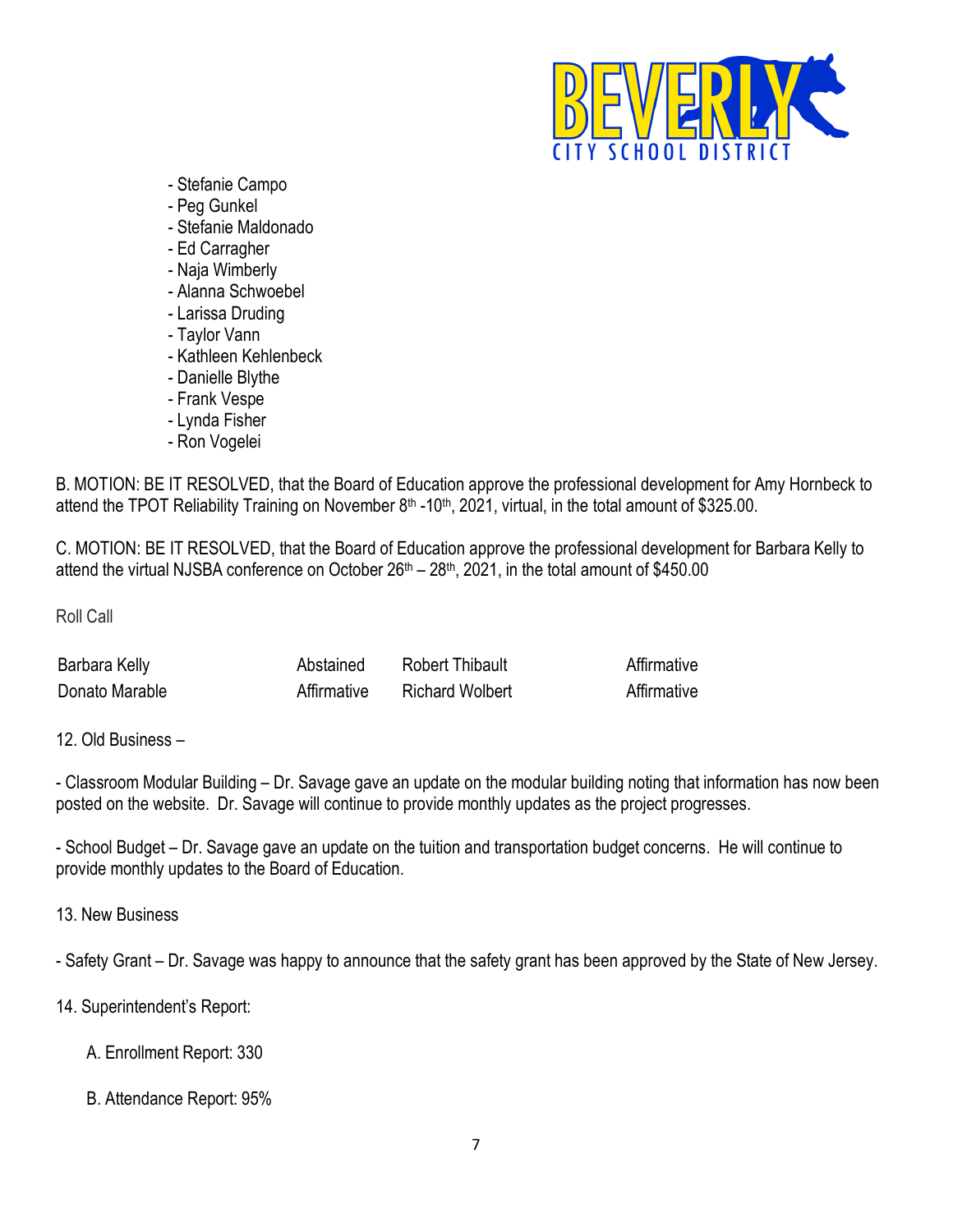

- Stefanie Campo
- Peg Gunkel
- Stefanie Maldonado
- Ed Carragher
- Naja Wimberly
- Alanna Schwoebel
- Larissa Druding
- Taylor Vann
- Kathleen Kehlenbeck
- Danielle Blythe
- Frank Vespe
- Lynda Fisher
- Ron Vogelei

B. MOTION: BE IT RESOLVED, that the Board of Education approve the professional development for Amy Hornbeck to attend the TPOT Reliability Training on November 8<sup>th</sup> -10<sup>th</sup>, 2021, virtual, in the total amount of \$325.00.

C. MOTION: BE IT RESOLVED, that the Board of Education approve the professional development for Barbara Kelly to attend the virtual NJSBA conference on October 26<sup>th</sup> – 28<sup>th</sup>, 2021, in the total amount of \$450.00

Roll Call

| Barbara Kelly  | ، در ر | $\sim$ 0.000 $\sim$ 0.000 $\sim$ 0.000 $\sim$ 0.000 $\sim$ 0.000 $\sim$ 0.000 $\sim$ 0.000 $\sim$ 0.000 $\sim$ 0.000 $\sim$ 0.000 $\sim$ 0.000 $\sim$ 0.000 $\sim$ 0.000 $\sim$ 0.000 $\sim$ 0.000 $\sim$ 0.000 $\sim$ 0.000 $\sim$ 0.000 $\sim$ 0.000 $\sim$ 0.000<br>:Robert<br><b>Thibault</b> |  |
|----------------|--------|---------------------------------------------------------------------------------------------------------------------------------------------------------------------------------------------------------------------------------------------------------------------------------------------------|--|
| Donato Marable |        | <b>Richard Wolbert</b>                                                                                                                                                                                                                                                                            |  |

12. Old Business –

- Classroom Modular Building – Dr. Savage gave an update on the modular building noting that information has now been posted on the website. Dr. Savage will continue to provide monthly updates as the project progresses.

- School Budget – Dr. Savage gave an update on the tuition and transportation budget concerns. He will continue to provide monthly updates to the Board of Education.

13. New Business

- Safety Grant – Dr. Savage was happy to announce that the safety grant has been approved by the State of New Jersey.

14. Superintendent's Report:

- A. [Enrollment Report:](http://www.beverly.k12.nj.us/bcs/Member%27s%20Area/Board%20Only/Board%20Attachments/Item%23%2016A%20Enrollment%20Report%20March%202015.pdf?1426684503) 330
- B. [Attendance Report:](http://www.beverly.k12.nj.us/bcs/Member%27s%20Area/Board%20Only/Board%20Attachments/Item%23%2016B%20Attendance%20Report%20March%202015.pdf?1426684573) 95%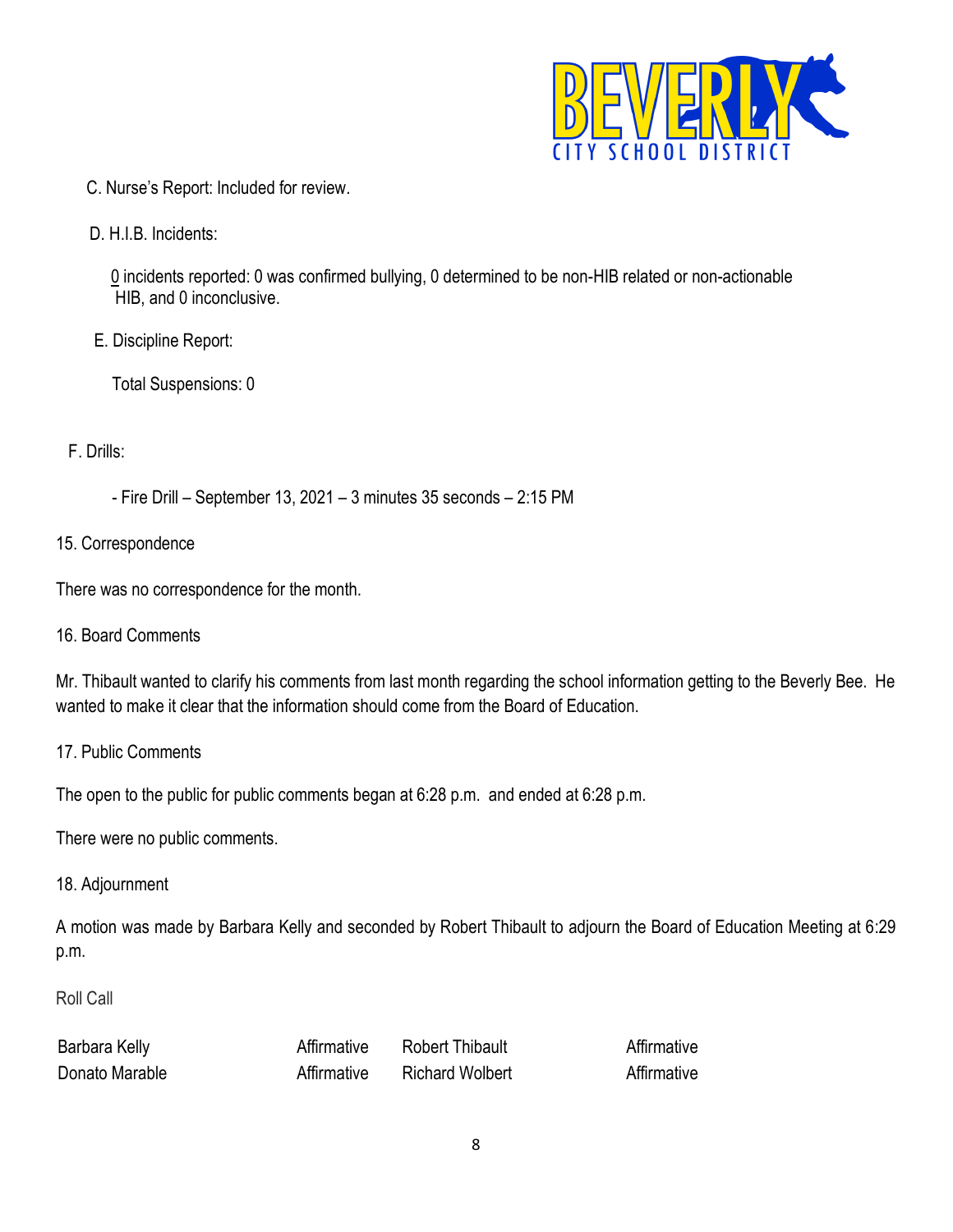

- C. [Nurse's Report:](http://www.beverly.k12.nj.us/bcs/Member%27s%20Area/Board%20Only/Board%20Attachments/Item%23%2016C%20Nurse%20Report%20March%202015.pdf?1426684603) Included for review.
- D. [H.I.B. Incidents:](http://www.beverly.k12.nj.us/bcs/Member%27s%20Area/Board%20Only/Board%20Attachments/Item%23%2016F%20H.I.B.%20Incidents%20March%202015.pdf?1426686841)

 0 incidents reported: 0 was confirmed bullying, 0 determined to be non-HIB related or non-actionable HIB, and 0 inconclusive.

E. [Discipline Report:](http://www.beverly.k12.nj.us/bcs/Member%27s%20Area/Board%20Only/Board%20Attachments/Item%23%2016D%20Discipline%20Report%20March%202015.pdf?1426684632)

Total Suspensions: 0

#### F. Drills:

- Fire Drill – September 13, 2021 – 3 minutes 35 seconds – 2:15 PM

15. Correspondence

There was no correspondence for the month.

16. Board Comments

Mr. Thibault wanted to clarify his comments from last month regarding the school information getting to the Beverly Bee. He wanted to make it clear that the information should come from the Board of Education.

17. Public Comments

The open to the public for public comments began at 6:28 p.m. and ended at 6:28 p.m.

There were no public comments.

18. Adjournment

A motion was made by Barbara Kelly and seconded by Robert Thibault to adjourn the Board of Education Meeting at 6:29 p.m.

#### Roll Call

| Barbara Kelly       | `hibault<br>:R∩h≙rt    |  |
|---------------------|------------------------|--|
| -<br>Donato Marable | <b>Richard Wolbert</b> |  |